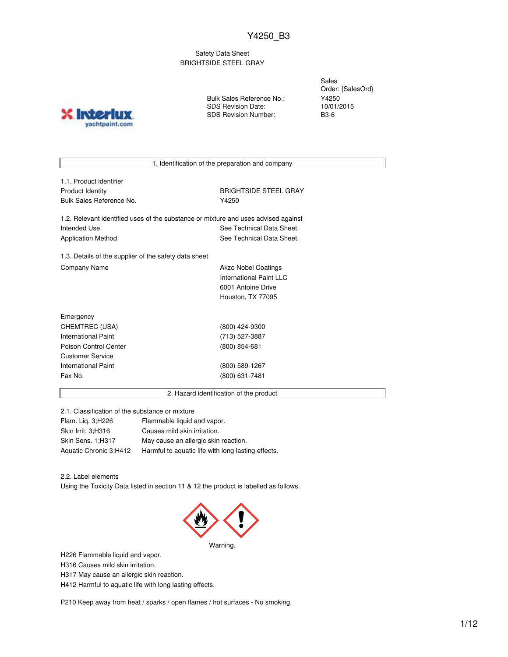Safety Data Sheet BRIGHTSIDE STEEL GRAY

**X** Inter yachtpaint.com Bulk Sales Reference No.: SDS Revision Date: SDS Revision Number:

Sales Order: {SalesOrd} Y4250 10/01/2015 B3-6

1. Identification of the preparation and company

| 1.1. Product identifier  |
|--------------------------|
| Product Identity         |
| Bulk Sales Reference No. |

**BRIGHTSIDE STEEL GRAY** Y4250

1.2. Relevant identified uses of the substance or mixture and uses advised against Intended Use **See Technical Data Sheet.** See Technical Data Sheet. Application Method See Technical Data Sheet.

1.3. Details of the supplier of the safety data sheet Company Name **Akzo Nobel Coatings** 

International Paint LLC 6001 Antoine Drive Houston, TX 77095

| Emergency             |                 |
|-----------------------|-----------------|
| CHEMTREC (USA)        | (800) 424-9300  |
| International Paint   | (713) 527-3887  |
| Poison Control Center | $(800)$ 854-681 |
| Customer Service      |                 |
| International Paint   | (800) 589-1267  |
| Fax No.               | (800) 631-7481  |
|                       |                 |

2. Hazard identification of the product

2.1. Classification of the substance or mixture

| Flam. Lig. 3; H226     | Flammable liquid and vapor.                        |
|------------------------|----------------------------------------------------|
| Skin Irrit. 3;H316     | Causes mild skin irritation.                       |
| Skin Sens. 1:H317      | May cause an allergic skin reaction.               |
| Aquatic Chronic 3;H412 | Harmful to aquatic life with long lasting effects. |

2.2. Label elements

Using the Toxicity Data listed in section 11 & 12 the product is labelled as follows.



H226 Flammable liquid and vapor.

H316 Causes mild skin irritation.

H317 May cause an allergic skin reaction.

H412 Harmful to aquatic life with long lasting effects.

P210 Keep away from heat / sparks / open flames / hot surfaces - No smoking.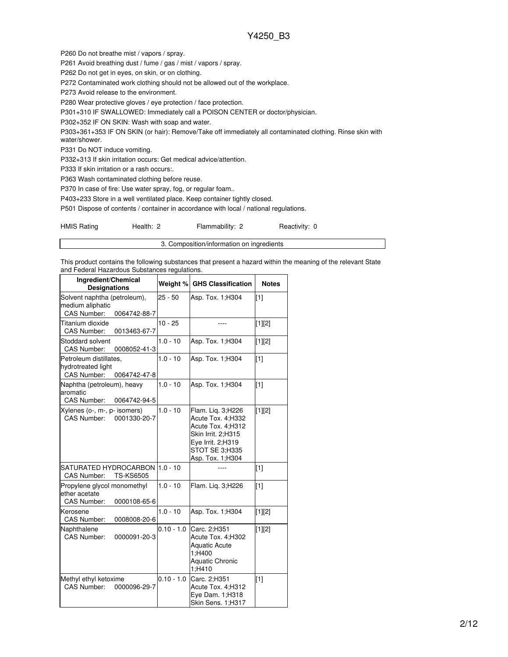P260 Do not breathe mist / vapors / spray.

P261 Avoid breathing dust / fume / gas / mist / vapors / spray.

P262 Do not get in eyes, on skin, or on clothing.

P272 Contaminated work clothing should not be allowed out of the workplace.

P273 Avoid release to the environment.

P280 Wear protective gloves / eye protection / face protection.

P301+310 IF SWALLOWED: Immediately call a POISON CENTER or doctor/physician.

P302+352 IF ON SKIN: Wash with soap and water.

P303+361+353 IF ON SKIN (or hair): Remove/Take off immediately all contaminated clothing. Rinse skin with water/shower.

P331 Do NOT induce vomiting.

P332+313 If skin irritation occurs: Get medical advice/attention.

P333 If skin irritation or a rash occurs:.

P363 Wash contaminated clothing before reuse.

P370 In case of fire: Use water spray, fog, or regular foam..

P403+233 Store in a well ventilated place. Keep container tightly closed.

P501 Dispose of contents / container in accordance with local / national regulations.

| <b>HMIS Rating</b> | Health: 2 | Flammability: 2 | Reactivity: 0 |
|--------------------|-----------|-----------------|---------------|
|--------------------|-----------|-----------------|---------------|

3. Composition/information on ingredients

This product contains the following substances that present a hazard within the meaning of the relevant State and Federal Hazardous Substances regulations.

| Ingredient/Chemical<br><b>Designations</b>                                         |              | Weight % GHS Classification                                                                                                                  | <b>Notes</b> |
|------------------------------------------------------------------------------------|--------------|----------------------------------------------------------------------------------------------------------------------------------------------|--------------|
| Solvent naphtha (petroleum),<br>medium aliphatic<br>CAS Number:<br>0064742-88-7    | $25 - 50$    | Asp. Tox. 1; H304                                                                                                                            | $\sqrt{11}$  |
| Titanium dioxide<br>CAS Number:<br>0013463-67-7                                    | $10 - 25$    |                                                                                                                                              | $[1][2]$     |
| Stoddard solvent<br><b>CAS Number:</b><br>0008052-41-3                             | $1.0 - 10$   | Asp. Tox. 1; H304                                                                                                                            | $[1][2]$     |
| Petroleum distillates,<br>hydrotreated light<br><b>CAS Number:</b><br>0064742-47-8 | $1.0 - 10$   | Asp. Tox. 1; H304                                                                                                                            | [1]          |
| Naphtha (petroleum), heavy<br>aromatic<br>CAS Number:<br>0064742-94-5              | $1.0 - 10$   | Asp. Tox. 1; H304                                                                                                                            | $[1]$        |
| Xylenes (o-, m-, p- isomers)<br>CAS Number:<br>0001330-20-7                        | $1.0 - 10$   | Flam. Lig. 3;H226<br>Acute Tox. 4:H332<br>Acute Tox. 4;H312<br>Skin Irrit. 2;H315<br>Eye Irrit. 2;H319<br>STOT SE 3;H335<br>Asp. Tox. 1;H304 | [1][2]       |
| SATURATED HYDROCARBON<br><b>TS-KS6505</b><br><b>CAS Number:</b>                    | $1.0 - 10$   |                                                                                                                                              | [1]          |
| Propylene glycol monomethyl<br>ether acetate<br>CAS Number:<br>0000108-65-6        | $1.0 - 10$   | Flam. Lig. 3;H226                                                                                                                            | $[1]$        |
| Kerosene<br>CAS Number:<br>0008008-20-6                                            | $1.0 - 10$   | Asp. Tox. 1; H304                                                                                                                            | $[1][2]$     |
| Naphthalene<br><b>CAS Number:</b><br>0000091-20-3                                  | $0.10 - 1.0$ | Carc. 2;H351<br>Acute Tox. 4:H302<br><b>Aquatic Acute</b><br>1;H400<br><b>Aquatic Chronic</b><br>1;H410                                      | $[1][2]$     |
| Methyl ethyl ketoxime<br><b>CAS Number:</b><br>0000096-29-7                        | $0.10 - 1.0$ | Carc. 2:H351<br>Acute Tox. 4;H312<br>Eye Dam. 1;H318<br>Skin Sens. 1;H317                                                                    | $[1]$        |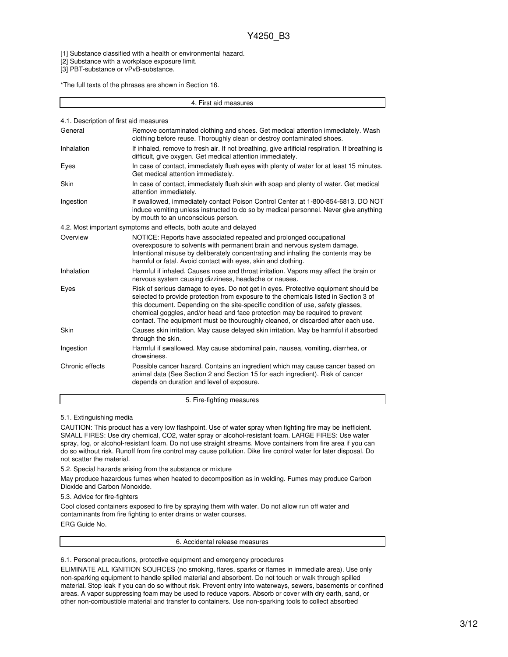[1] Substance classified with a health or environmental hazard.

[2] Substance with a workplace exposure limit.

[3] PBT-substance or vPvB-substance.

\*The full texts of the phrases are shown in Section 16.

4. First aid measures

|  |  |  |  | 4.1. Description of first aid measures |  |
|--|--|--|--|----------------------------------------|--|
|--|--|--|--|----------------------------------------|--|

| General         | Remove contaminated clothing and shoes. Get medical attention immediately. Wash<br>clothing before reuse. Thoroughly clean or destroy contaminated shoes.                                                                                                                                                                                                                                                                         |  |  |  |
|-----------------|-----------------------------------------------------------------------------------------------------------------------------------------------------------------------------------------------------------------------------------------------------------------------------------------------------------------------------------------------------------------------------------------------------------------------------------|--|--|--|
| Inhalation      | If inhaled, remove to fresh air. If not breathing, give artificial respiration. If breathing is<br>difficult, give oxygen. Get medical attention immediately.                                                                                                                                                                                                                                                                     |  |  |  |
| Eyes            | In case of contact, immediately flush eyes with plenty of water for at least 15 minutes.<br>Get medical attention immediately.                                                                                                                                                                                                                                                                                                    |  |  |  |
| Skin            | In case of contact, immediately flush skin with soap and plenty of water. Get medical<br>attention immediately.                                                                                                                                                                                                                                                                                                                   |  |  |  |
| Ingestion       | If swallowed, immediately contact Poison Control Center at 1-800-854-6813. DO NOT<br>induce vomiting unless instructed to do so by medical personnel. Never give anything<br>by mouth to an unconscious person.                                                                                                                                                                                                                   |  |  |  |
|                 | 4.2. Most important symptoms and effects, both acute and delayed                                                                                                                                                                                                                                                                                                                                                                  |  |  |  |
| Overview        | NOTICE: Reports have associated repeated and prolonged occupational<br>overexposure to solvents with permanent brain and nervous system damage.<br>Intentional misuse by deliberately concentrating and inhaling the contents may be<br>harmful or fatal. Avoid contact with eyes, skin and clothing.                                                                                                                             |  |  |  |
| Inhalation      | Harmful if inhaled. Causes nose and throat irritation. Vapors may affect the brain or<br>nervous system causing dizziness, headache or nausea.                                                                                                                                                                                                                                                                                    |  |  |  |
| Eyes            | Risk of serious damage to eyes. Do not get in eyes. Protective equipment should be<br>selected to provide protection from exposure to the chemicals listed in Section 3 of<br>this document. Depending on the site-specific condition of use, safety glasses,<br>chemical goggles, and/or head and face protection may be required to prevent<br>contact. The equipment must be thouroughly cleaned, or discarded after each use. |  |  |  |
| Skin            | Causes skin irritation. May cause delayed skin irritation. May be harmful if absorbed<br>through the skin.                                                                                                                                                                                                                                                                                                                        |  |  |  |
| Ingestion       | Harmful if swallowed. May cause abdominal pain, nausea, vomiting, diarrhea, or<br>drowsiness.                                                                                                                                                                                                                                                                                                                                     |  |  |  |
| Chronic effects | Possible cancer hazard. Contains an ingredient which may cause cancer based on<br>animal data (See Section 2 and Section 15 for each ingredient). Risk of cancer<br>depends on duration and level of exposure.                                                                                                                                                                                                                    |  |  |  |

#### 5. Fire-fighting measures

5.1. Extinguishing media

CAUTION: This product has a very low flashpoint. Use of water spray when fighting fire may be inefficient. SMALL FIRES: Use dry chemical, CO2, water spray or alcohol-resistant foam. LARGE FIRES: Use water spray, fog, or alcohol-resistant foam. Do not use straight streams. Move containers from fire area if you can do so without risk. Runoff from fire control may cause pollution. Dike fire control water for later disposal. Do not scatter the material.

5.2. Special hazards arising from the substance or mixture

May produce hazardous fumes when heated to decomposition as in welding. Fumes may produce Carbon Dioxide and Carbon Monoxide.

5.3. Advice for fire-fighters

Cool closed containers exposed to fire by spraying them with water. Do not allow run off water and contaminants from fire fighting to enter drains or water courses. ERG Guide No.

6. Accidental release measures

6.1. Personal precautions, protective equipment and emergency procedures

ELIMINATE ALL IGNITION SOURCES (no smoking, flares, sparks or flames in immediate area). Use only non-sparking equipment to handle spilled material and absorbent. Do not touch or walk through spilled material. Stop leak if you can do so without risk. Prevent entry into waterways, sewers, basements or confined areas. A vapor suppressing foam may be used to reduce vapors. Absorb or cover with dry earth, sand, or other non-combustible material and transfer to containers. Use non-sparking tools to collect absorbed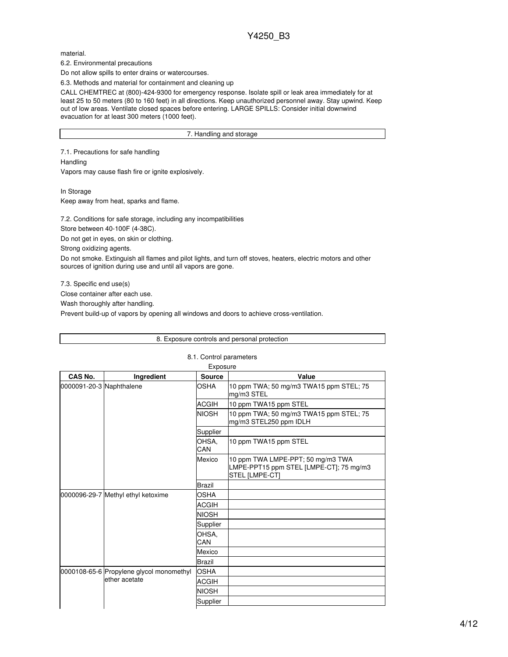material.

6.2. Environmental precautions

Do not allow spills to enter drains or watercourses.

6.3. Methods and material for containment and cleaning up

CALL CHEMTREC at (800)-424-9300 for emergency response. Isolate spill or leak area immediately for at least 25 to 50 meters (80 to 160 feet) in all directions. Keep unauthorized personnel away. Stay upwind. Keep out of low areas. Ventilate closed spaces before entering. LARGE SPILLS: Consider initial downwind evacuation for at least 300 meters (1000 feet).

#### 7. Handling and storage

7.1. Precautions for safe handling **Handling** 

Vapors may cause flash fire or ignite explosively.

In Storage

Keep away from heat, sparks and flame.

7.2. Conditions for safe storage, including any incompatibilities

Store between 40-100F (4-38C).

Do not get in eyes, on skin or clothing.

Strong oxidizing agents.

Do not smoke. Extinguish all flames and pilot lights, and turn off stoves, heaters, electric motors and other sources of ignition during use and until all vapors are gone.

7.3. Specific end use(s)

Close container after each use.

Wash thoroughly after handling.

Prevent build-up of vapors by opening all windows and doors to achieve cross-ventilation.

|                                    | 8. Exposure controls and personal protection |               |                                                                                                       |  |  |
|------------------------------------|----------------------------------------------|---------------|-------------------------------------------------------------------------------------------------------|--|--|
|                                    | 8.1. Control parameters                      |               |                                                                                                       |  |  |
|                                    |                                              | Exposure      |                                                                                                       |  |  |
| CAS No.                            | Ingredient                                   | <b>Source</b> | Value                                                                                                 |  |  |
| 0000091-20-3 Naphthalene           |                                              | <b>OSHA</b>   | 10 ppm TWA; 50 mg/m3 TWA15 ppm STEL; 75<br>mg/m3 STEL                                                 |  |  |
|                                    |                                              | <b>ACGIH</b>  | 10 ppm TWA15 ppm STEL                                                                                 |  |  |
|                                    |                                              | <b>NIOSH</b>  | 10 ppm TWA; 50 mg/m3 TWA15 ppm STEL; 75<br>mg/m3 STEL250 ppm IDLH                                     |  |  |
|                                    |                                              | Supplier      |                                                                                                       |  |  |
|                                    |                                              | OHSA.<br>CAN  | 10 ppm TWA15 ppm STEL                                                                                 |  |  |
|                                    |                                              | Mexico        | 10 ppm TWA LMPE-PPT; 50 mg/m3 TWA<br>LMPE-PPT15 ppm STEL [LMPE-CT]; 75 mg/m3<br><b>STEL [LMPE-CT]</b> |  |  |
|                                    |                                              | <b>Brazil</b> |                                                                                                       |  |  |
| 0000096-29-7 Methyl ethyl ketoxime |                                              | <b>OSHA</b>   |                                                                                                       |  |  |
|                                    | <b>ACGIH</b>                                 |               |                                                                                                       |  |  |
|                                    |                                              | <b>NIOSH</b>  |                                                                                                       |  |  |
|                                    |                                              | Supplier      |                                                                                                       |  |  |
|                                    |                                              | OHSA.<br>CAN  |                                                                                                       |  |  |
|                                    |                                              | Mexico        |                                                                                                       |  |  |
|                                    |                                              | <b>Brazil</b> |                                                                                                       |  |  |
|                                    | 0000108-65-6 Propylene glycol monomethyl     | <b>OSHA</b>   |                                                                                                       |  |  |
|                                    | ether acetate                                | <b>ACGIH</b>  |                                                                                                       |  |  |
|                                    |                                              | <b>NIOSH</b>  |                                                                                                       |  |  |
|                                    |                                              | Supplier      |                                                                                                       |  |  |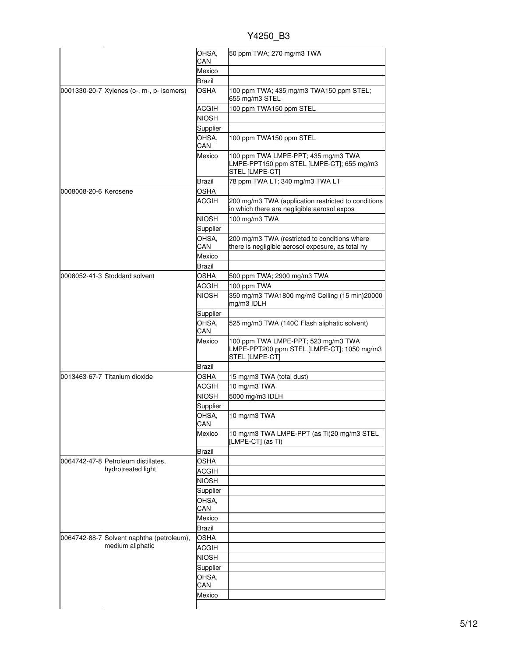|                       |                                           | OHSA.<br>CAN      | 50 ppm TWA; 270 mg/m3 TWA                                                                           |
|-----------------------|-------------------------------------------|-------------------|-----------------------------------------------------------------------------------------------------|
|                       |                                           | Mexico            |                                                                                                     |
|                       |                                           |                   |                                                                                                     |
|                       |                                           | Brazil            |                                                                                                     |
|                       | 0001330-20-7 Xylenes (o-, m-, p- isomers) | OSHA              | 100 ppm TWA; 435 mg/m3 TWA150 ppm STEL;<br>655 mg/m3 STEL                                           |
|                       |                                           | <b>ACGIH</b>      | 100 ppm TWA150 ppm STEL                                                                             |
|                       |                                           | <b>NIOSH</b>      |                                                                                                     |
|                       |                                           | Supplier          |                                                                                                     |
|                       |                                           | OHSA,<br>CAN      | 100 ppm TWA150 ppm STEL                                                                             |
|                       |                                           | Mexico            | 100 ppm TWA LMPE-PPT; 435 mg/m3 TWA<br>LMPE-PPT150 ppm STEL [LMPE-CT]; 655 mg/m3<br>STEL [LMPE-CT]  |
|                       |                                           | Brazil            | 78 ppm TWA LT; 340 mg/m3 TWA LT                                                                     |
| 0008008-20-6 Kerosene |                                           | <b>OSHA</b>       |                                                                                                     |
|                       |                                           | <b>ACGIH</b>      | 200 mg/m3 TWA (application restricted to conditions<br>in which there are negligible aerosol expos  |
|                       |                                           |                   |                                                                                                     |
|                       |                                           | <b>NIOSH</b>      | 100 mg/m3 TWA                                                                                       |
|                       |                                           | Supplier          |                                                                                                     |
|                       |                                           | OHSA.<br>CAN      | 200 mg/m3 TWA (restricted to conditions where<br>there is negligible aerosol exposure, as total hy  |
|                       |                                           | Mexico            |                                                                                                     |
|                       |                                           | Brazil            |                                                                                                     |
|                       | 0008052-41-3 Stoddard solvent             | OSHA              | 500 ppm TWA; 2900 mg/m3 TWA                                                                         |
|                       |                                           | <b>ACGIH</b>      | 100 ppm TWA                                                                                         |
|                       |                                           | <b>NIOSH</b>      | 350 mg/m3 TWA1800 mg/m3 Ceiling (15 min)20000                                                       |
|                       |                                           |                   | mg/m3 IDLH                                                                                          |
|                       |                                           | Supplier          |                                                                                                     |
|                       |                                           | OHSA.             | 525 mg/m3 TWA (140C Flash aliphatic solvent)                                                        |
|                       |                                           | CAN               |                                                                                                     |
|                       |                                           | Mexico            | 100 ppm TWA LMPE-PPT; 523 mg/m3 TWA<br>LMPE-PPT200 ppm STEL [LMPE-CT]; 1050 mg/m3<br>STEL [LMPE-CT] |
|                       |                                           | Brazil            |                                                                                                     |
|                       | 0013463-67-7 Titanium dioxide             | <b>OSHA</b>       | 15 mg/m3 TWA (total dust)                                                                           |
|                       |                                           | <b>ACGIH</b>      | 10 mg/m3 TWA                                                                                        |
|                       |                                           | <b>NIOSH</b>      | 5000 mg/m3 IDLH                                                                                     |
|                       |                                           |                   |                                                                                                     |
|                       |                                           | Supplier<br>OHSA, | 10 mg/m3 TWA                                                                                        |
|                       |                                           | CAN<br>Mexico     | 10 mg/m3 TWA LMPE-PPT (as Ti)20 mg/m3 STEL                                                          |
|                       |                                           |                   | [LMPE-CT] (as Ti)                                                                                   |
|                       |                                           | <b>Brazil</b>     |                                                                                                     |
|                       | 0064742-47-8 Petroleum distillates.       | <b>OSHA</b>       |                                                                                                     |
|                       | hydrotreated light                        | ACGIH             |                                                                                                     |
|                       |                                           | <b>NIOSH</b>      |                                                                                                     |
|                       |                                           | Supplier          |                                                                                                     |
|                       |                                           | OHSA,             |                                                                                                     |
|                       |                                           | CAN               |                                                                                                     |
|                       |                                           | Mexico            |                                                                                                     |
|                       |                                           | <b>Brazil</b>     |                                                                                                     |
|                       | 0064742-88-7 Solvent naphtha (petroleum), | <b>OSHA</b>       |                                                                                                     |
|                       | medium aliphatic                          | <b>ACGIH</b>      |                                                                                                     |
|                       |                                           | <b>NIOSH</b>      |                                                                                                     |
|                       |                                           |                   |                                                                                                     |
|                       |                                           |                   |                                                                                                     |
|                       |                                           | Supplier          |                                                                                                     |
|                       |                                           | OHSA,             |                                                                                                     |
|                       |                                           | CAN<br>Mexico     |                                                                                                     |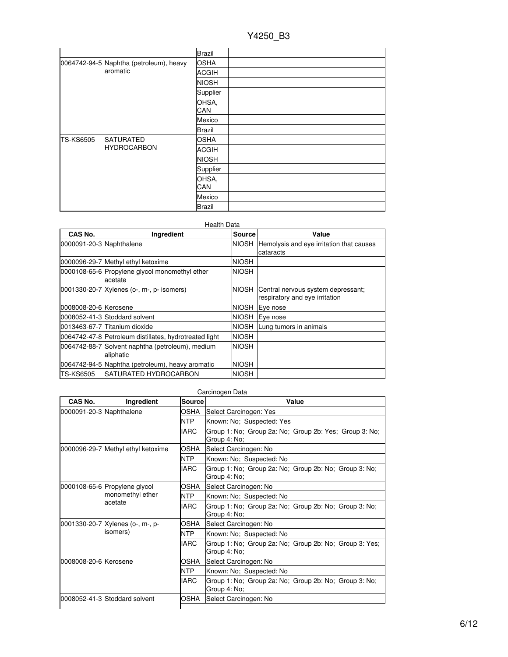|                    |                                         | <b>Brazil</b> |  |
|--------------------|-----------------------------------------|---------------|--|
|                    | 0064742-94-5 Naphtha (petroleum), heavy | <b>OSHA</b>   |  |
|                    | aromatic                                | <b>ACGIH</b>  |  |
|                    |                                         | <b>NIOSH</b>  |  |
|                    |                                         | Supplier      |  |
|                    |                                         | OHSA,<br>CAN  |  |
|                    |                                         | Mexico        |  |
|                    | <b>Brazil</b>                           |               |  |
| <b>TS-KS6505</b>   | <b>SATURATED</b>                        | <b>OSHA</b>   |  |
| <b>HYDROCARBON</b> | <b>ACGIH</b>                            |               |  |
|                    |                                         | <b>NIOSH</b>  |  |
|                    | Supplier                                |               |  |
|                    | OHSA,                                   |               |  |
|                    |                                         | CAN           |  |
|                    |                                         | Mexico        |  |
|                    |                                         | <b>Brazil</b> |  |

| Health Data              |                                                               |               |                                                                      |  |
|--------------------------|---------------------------------------------------------------|---------------|----------------------------------------------------------------------|--|
| CAS No.                  | Ingredient                                                    | <b>Source</b> | Value                                                                |  |
| 0000091-20-3 Naphthalene |                                                               | <b>NIOSH</b>  | Hemolysis and eye irritation that causes<br>cataracts                |  |
|                          | 0000096-29-7 Methyl ethyl ketoxime                            | <b>NIOSH</b>  |                                                                      |  |
|                          | 0000108-65-6 Propylene glycol monomethyl ether<br>acetate     | <b>NIOSH</b>  |                                                                      |  |
|                          | 0001330-20-7 Xylenes (o-, m-, p- isomers)                     | NIOSH         | Central nervous system depressant;<br>respiratory and eye irritation |  |
| 0008008-20-6 Kerosene    |                                                               | NIOSH         | Eye nose                                                             |  |
|                          | 0008052-41-3 Stoddard solvent                                 | <b>NIOSH</b>  | Eye nose                                                             |  |
|                          | 0013463-67-7 Titanium dioxide                                 | NIOSH         | Lung tumors in animals                                               |  |
|                          | 0064742-47-8 Petroleum distillates, hydrotreated light        | <b>NIOSH</b>  |                                                                      |  |
|                          | 0064742-88-7 Solvent naphtha (petroleum), medium<br>aliphatic | <b>NIOSH</b>  |                                                                      |  |
|                          | 0064742-94-5 Naphtha (petroleum), heavy aromatic              | <b>NIOSH</b>  |                                                                      |  |
| <b>TS-KS6505</b>         | ISATURATED HYDROCARBON                                        | <b>NIOSH</b>  |                                                                      |  |

| Carcinogen Data                                              |               |                                                                        |  |  |
|--------------------------------------------------------------|---------------|------------------------------------------------------------------------|--|--|
| Ingredient                                                   | <b>Source</b> | Value                                                                  |  |  |
| 0000091-20-3 Naphthalene                                     | OSHA          | Select Carcinogen: Yes                                                 |  |  |
|                                                              | <b>NTP</b>    | Known: No; Suspected: Yes                                              |  |  |
|                                                              | <b>IARC</b>   | Group 1: No; Group 2a: No; Group 2b: Yes; Group 3: No;<br>Group 4: No; |  |  |
| 0000096-29-7 Methyl ethyl ketoxime                           | OSHA          | Select Carcinogen: No                                                  |  |  |
|                                                              | <b>NTP</b>    | Known: No; Suspected: No                                               |  |  |
|                                                              | <b>IARC</b>   | Group 1: No; Group 2a: No; Group 2b: No; Group 3: No;<br>Group 4: No;  |  |  |
| 0000108-65-6 Propylene glycol<br>monomethyl ether<br>acetate | OSHA          | Select Carcinogen: No                                                  |  |  |
|                                                              | <b>NTP</b>    | Known: No; Suspected: No                                               |  |  |
|                                                              | <b>IARC</b>   | Group 1: No; Group 2a: No; Group 2b: No; Group 3: No;<br>Group 4: No;  |  |  |
| 0001330-20-7 Xylenes (o-, m-, p-                             | OSHA          | Select Carcinogen: No                                                  |  |  |
| isomers)                                                     | <b>NTP</b>    | Known: No; Suspected: No                                               |  |  |
|                                                              | <b>IARC</b>   | Group 1: No; Group 2a: No; Group 2b: No; Group 3: Yes;<br>Group 4: No; |  |  |
| 0008008-20-6 Kerosene                                        | OSHA          | Select Carcinogen: No                                                  |  |  |
|                                                              | <b>NTP</b>    | Known: No; Suspected: No                                               |  |  |
|                                                              | <b>IARC</b>   | Group 1: No; Group 2a: No; Group 2b: No; Group 3: No;<br>Group 4: No;  |  |  |
| 0008052-41-3 Stoddard solvent                                | <b>OSHA</b>   | Select Carcinogen: No                                                  |  |  |
|                                                              |               |                                                                        |  |  |

# 6/12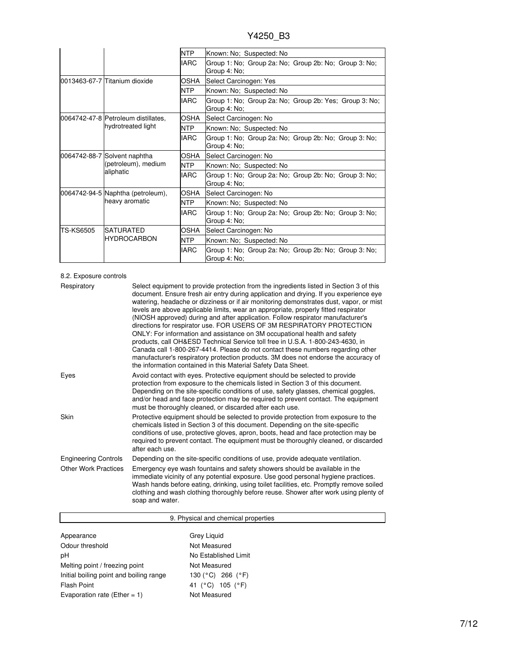|                  |                                                                  | NTP         | Known: No; Suspected: No                                               |  |
|------------------|------------------------------------------------------------------|-------------|------------------------------------------------------------------------|--|
|                  |                                                                  | <b>IARC</b> | Group 1: No; Group 2a: No; Group 2b: No; Group 3: No;<br>Group 4: No;  |  |
|                  | 0013463-67-7 Titanium dioxide                                    | OSHA        | Select Carcinogen: Yes                                                 |  |
|                  |                                                                  | <b>NTP</b>  | Known: No; Suspected: No                                               |  |
|                  |                                                                  | <b>IARC</b> | Group 1: No; Group 2a: No; Group 2b: Yes; Group 3: No;<br>Group 4: No: |  |
|                  | 0064742-47-8 Petroleum distillates,                              | OSHA        | Select Carcinogen: No                                                  |  |
|                  | hydrotreated light                                               | <b>NTP</b>  | Known: No; Suspected: No                                               |  |
|                  |                                                                  | <b>IARC</b> | Group 1: No; Group 2a: No; Group 2b: No; Group 3: No;<br>Group 4: No;  |  |
|                  | 0064742-88-7 Solvent naphtha<br>(petroleum), medium<br>aliphatic | OSHA        | Select Carcinogen: No                                                  |  |
|                  |                                                                  | <b>NTP</b>  | Known: No; Suspected: No                                               |  |
|                  |                                                                  | <b>IARC</b> | Group 1: No; Group 2a: No; Group 2b: No; Group 3: No;<br>Group 4: No;  |  |
|                  | 0064742-94-5 Naphtha (petroleum),<br>heavy aromatic              | <b>OSHA</b> | Select Carcinogen: No                                                  |  |
|                  |                                                                  | <b>NTP</b>  | Known: No; Suspected: No                                               |  |
|                  |                                                                  | <b>IARC</b> | Group 1: No; Group 2a: No; Group 2b: No; Group 3: No;<br>Group 4: No;  |  |
| <b>TS-KS6505</b> | <b>SATURATED</b><br><b>HYDROCARBON</b>                           | <b>OSHA</b> | Select Carcinogen: No                                                  |  |
|                  |                                                                  | <b>NTP</b>  | Known: No; Suspected: No                                               |  |
|                  |                                                                  | <b>IARC</b> | Group 1: No; Group 2a: No; Group 2b: No; Group 3: No;<br>Group 4: No;  |  |

#### 8.2. Exposure controls

| Respiratory                 | Select equipment to provide protection from the ingredients listed in Section 3 of this<br>document. Ensure fresh air entry during application and drying. If you experience eye<br>watering, headache or dizziness or if air monitoring demonstrates dust, vapor, or mist<br>levels are above applicable limits, wear an appropriate, properly fitted respirator<br>(NIOSH approved) during and after application. Follow respirator manufacturer's<br>directions for respirator use. FOR USERS OF 3M RESPIRATORY PROTECTION<br>ONLY: For information and assistance on 3M occupational health and safety<br>products, call OH&ESD Technical Service toll free in U.S.A. 1-800-243-4630, in<br>Canada call 1-800-267-4414. Please do not contact these numbers regarding other<br>manufacturer's respiratory protection products. 3M does not endorse the accuracy of<br>the information contained in this Material Safety Data Sheet. |
|-----------------------------|-----------------------------------------------------------------------------------------------------------------------------------------------------------------------------------------------------------------------------------------------------------------------------------------------------------------------------------------------------------------------------------------------------------------------------------------------------------------------------------------------------------------------------------------------------------------------------------------------------------------------------------------------------------------------------------------------------------------------------------------------------------------------------------------------------------------------------------------------------------------------------------------------------------------------------------------|
| Eyes                        | Avoid contact with eyes. Protective equipment should be selected to provide<br>protection from exposure to the chemicals listed in Section 3 of this document.<br>Depending on the site-specific conditions of use, safety glasses, chemical goggles,<br>and/or head and face protection may be required to prevent contact. The equipment<br>must be thoroughly cleaned, or discarded after each use.                                                                                                                                                                                                                                                                                                                                                                                                                                                                                                                                  |
| Skin                        | Protective equipment should be selected to provide protection from exposure to the<br>chemicals listed in Section 3 of this document. Depending on the site-specific<br>conditions of use, protective gloves, apron, boots, head and face protection may be<br>required to prevent contact. The equipment must be thoroughly cleaned, or discarded<br>after each use.                                                                                                                                                                                                                                                                                                                                                                                                                                                                                                                                                                   |
| <b>Engineering Controls</b> | Depending on the site-specific conditions of use, provide adequate ventilation.                                                                                                                                                                                                                                                                                                                                                                                                                                                                                                                                                                                                                                                                                                                                                                                                                                                         |
| <b>Other Work Practices</b> | Emergency eye wash fountains and safety showers should be available in the<br>immediate vicinity of any potential exposure. Use good personal hygiene practices.<br>Wash hands before eating, drinking, using toilet facilities, etc. Promptly remove soiled<br>clothing and wash clothing thoroughly before reuse. Shower after work using plenty of<br>soap and water.                                                                                                                                                                                                                                                                                                                                                                                                                                                                                                                                                                |

| 9. Physical and chemical properties     |                                  |  |  |
|-----------------------------------------|----------------------------------|--|--|
|                                         |                                  |  |  |
| Appearance                              | Grey Liquid                      |  |  |
| Odour threshold                         | Not Measured                     |  |  |
| рH                                      | No Established Limit             |  |  |
| Melting point / freezing point          | Not Measured                     |  |  |
| Initial boiling point and boiling range | 266 ( $\degree$ F)<br>130 (°C) - |  |  |
| Flash Point                             | 41 (°C) 105 (°F)                 |  |  |
| Evaporation rate (Ether = 1)            | Not Measured                     |  |  |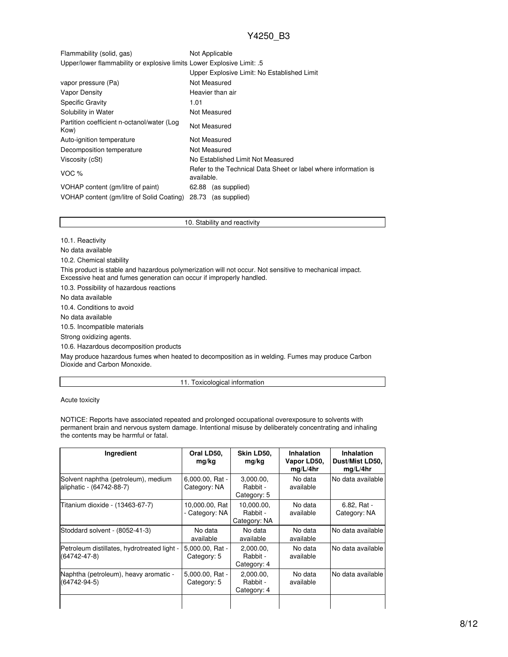| Flammability (solid, gas)                                              | Not Applicable                              |
|------------------------------------------------------------------------|---------------------------------------------|
| Upper/lower flammability or explosive limits Lower Explosive Limit: .5 |                                             |
|                                                                        | Upper Explosive Limit: No Established Limit |

| vapor pressure (Pa)                                | Not Measured                                                                  |  |  |
|----------------------------------------------------|-------------------------------------------------------------------------------|--|--|
| Vapor Density                                      | Heavier than air                                                              |  |  |
| Specific Gravity                                   | 1.01                                                                          |  |  |
| Solubility in Water                                | Not Measured                                                                  |  |  |
| Partition coefficient n-octanol/water (Log<br>Kow) | Not Measured                                                                  |  |  |
| Auto-ignition temperature                          | Not Measured                                                                  |  |  |
| Decomposition temperature                          | Not Measured                                                                  |  |  |
| Viscosity (cSt)                                    | No Established Limit Not Measured                                             |  |  |
| VOC $%$                                            | Refer to the Technical Data Sheet or label where information is<br>available. |  |  |
| VOHAP content (gm/litre of paint)                  | (as supplied)<br>62.88                                                        |  |  |
| VOHAP content (gm/litre of Solid Coating)          | 28.73<br>(as supplied)                                                        |  |  |

10. Stability and reactivity

10.1. Reactivity

No data available

10.2. Chemical stability

This product is stable and hazardous polymerization will not occur. Not sensitive to mechanical impact. Excessive heat and fumes generation can occur if improperly handled.

10.3. Possibility of hazardous reactions

No data available

10.4. Conditions to avoid

No data available

10.5. Incompatible materials

Strong oxidizing agents.

10.6. Hazardous decomposition products

May produce hazardous fumes when heated to decomposition as in welding. Fumes may produce Carbon Dioxide and Carbon Monoxide.

11. Toxicological information

Acute toxicity

NOTICE: Reports have associated repeated and prolonged occupational overexposure to solvents with permanent brain and nervous system damage. Intentional misuse by deliberately concentrating and inhaling the contents may be harmful or fatal.

| Ingredient                                                        | Oral LD50,<br>mg/kg              | Skin LD50,<br>mg/kg                    | <b>Inhalation</b><br>Vapor LD50,<br>mq/L/4hr | Inhalation<br>Dust/Mist LD50,<br>mq/L/4hr |
|-------------------------------------------------------------------|----------------------------------|----------------------------------------|----------------------------------------------|-------------------------------------------|
| Solvent naphtha (petroleum), medium<br>aliphatic - (64742-88-7)   | 6,000.00, Rat -<br>Category: NA  | 3,000.00,<br>Rabbit -<br>Category: 5   | No data<br>available                         | No data available                         |
| Titanium dioxide - (13463-67-7)                                   | 10,000.00, Rat<br>- Category: NA | 10,000.00,<br>Rabbit -<br>Category: NA | No data<br>available                         | 6.82, Rat -<br>Category: NA               |
| Stoddard solvent - (8052-41-3)                                    | No data<br>available             | No data<br>available                   | No data<br>available                         | No data available                         |
| Petroleum distillates, hydrotreated light -<br>$(64742 - 47 - 8)$ | 5,000.00, Rat -<br>Category: 5   | 2,000.00,<br>Rabbit -<br>Category: 4   | No data<br>available                         | No data available                         |
| Naphtha (petroleum), heavy aromatic -<br>$(64742 - 94 - 5)$       | 5,000.00, Rat -<br>Category: 5   | 2,000.00,<br>Rabbit -<br>Category: 4   | No data<br>available                         | No data available                         |
|                                                                   |                                  |                                        |                                              |                                           |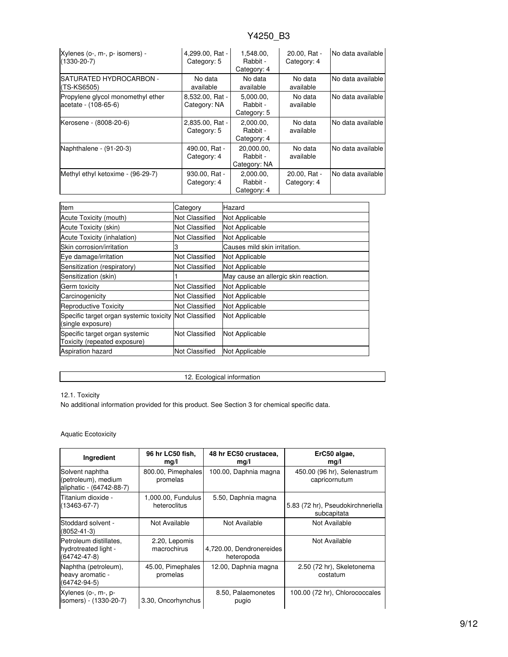| Xylenes (o-, m-, p- isomers) -<br>$(1330 - 20 - 7)$       | 4,299.00, Rat -<br>Category: 5  | 1,548.00,<br>Rabbit -<br>Category: 4   | 20.00, Rat -<br>Category: 4 | No data available |
|-----------------------------------------------------------|---------------------------------|----------------------------------------|-----------------------------|-------------------|
| <b>ISATURATED HYDROCARBON -</b><br>$(TS-KS6505)$          | No data<br>available            | No data<br>available                   | No data<br>available        | No data available |
| Propylene glycol monomethyl ether<br>acetate - (108-65-6) | 8,532.00, Rat -<br>Category: NA | 5.000.00.<br>Rabbit -<br>Category: 5   | No data<br>available        | No data available |
| Kerosene - (8008-20-6)                                    | 2,835.00, Rat -<br>Category: 5  | 2.000.00.<br>Rabbit -<br>Category: 4   | No data<br>available        | No data available |
| Naphthalene - (91-20-3)                                   | 490.00, Rat -<br>Category: 4    | 20.000.00.<br>Rabbit -<br>Category: NA | No data<br>available        | No data available |
| Methyl ethyl ketoxime - (96-29-7)                         | 930.00, Rat -<br>Category: 4    | 2,000.00,<br>Rabbit -<br>Category: 4   | 20.00, Rat -<br>Category: 4 | No data available |

| Item                                                                        | Category              | Hazard                               |
|-----------------------------------------------------------------------------|-----------------------|--------------------------------------|
| Acute Toxicity (mouth)                                                      | Not Classified        | Not Applicable                       |
| Acute Toxicity (skin)                                                       | Not Classified        | Not Applicable                       |
| Acute Toxicity (inhalation)                                                 | Not Classified        | Not Applicable                       |
| Skin corrosion/irritation                                                   | 3                     | Causes mild skin irritation.         |
| Eye damage/irritation                                                       | Not Classified        | Not Applicable                       |
| Sensitization (respiratory)                                                 | Not Classified        | Not Applicable                       |
| Sensitization (skin)                                                        |                       | May cause an allergic skin reaction. |
| Germ toxicity                                                               | Not Classified        | Not Applicable                       |
| Carcinogenicity                                                             | Not Classified        | Not Applicable                       |
| Reproductive Toxicity                                                       | <b>Not Classified</b> | Not Applicable                       |
| Specific target organ systemic toxicity Not Classified<br>(single exposure) |                       | Not Applicable                       |
| Specific target organ systemic<br>Toxicity (repeated exposure)              | Not Classified        | Not Applicable                       |
| <b>Aspiration hazard</b>                                                    | <b>Not Classified</b> | Not Applicable                       |

12. Ecological information

### 12.1. Toxicity

No additional information provided for this product. See Section 3 for chemical specific data.

### Aquatic Ecotoxicity

| Ingredient                                                           | 96 hr LC50 fish,<br>mg/l           | 48 hr EC50 crustacea,<br>mg/l          | ErC50 algae,<br>mq/l                             |
|----------------------------------------------------------------------|------------------------------------|----------------------------------------|--------------------------------------------------|
| Solvent naphtha<br>(petroleum), medium<br>aliphatic - (64742-88-7)   | 800.00, Pimephales<br>promelas     | 100.00, Daphnia magna                  | 450.00 (96 hr), Selenastrum<br>capricornutum     |
| Titanium dioxide -<br>(13463-67-7)                                   | 1,000.00, Fundulus<br>heteroclitus | 5.50, Daphnia magna                    | 5.83 (72 hr), Pseudokirchneriella<br>subcapitata |
| Stoddard solvent -<br>(8052-41-3)                                    | Not Available                      | Not Available                          | Not Available                                    |
| Petroleum distillates.<br>hydrotreated light -<br>$(64742 - 47 - 8)$ | 2.20, Lepomis<br>macrochirus       | 4,720.00, Dendronereides<br>heteropoda | Not Available                                    |
| Naphtha (petroleum),<br>heavy aromatic -<br>$(64742 - 94 - 5)$       | 45.00, Pimephales<br>promelas      | 12.00, Daphnia magna                   | 2.50 (72 hr), Skeletonema<br>costatum            |
| Xylenes (o-, m-, p-<br>isomers) - (1330-20-7)                        | 3.30, Oncorhynchus                 | 8.50, Palaemonetes<br>pugio            | 100.00 (72 hr), Chlorococcales                   |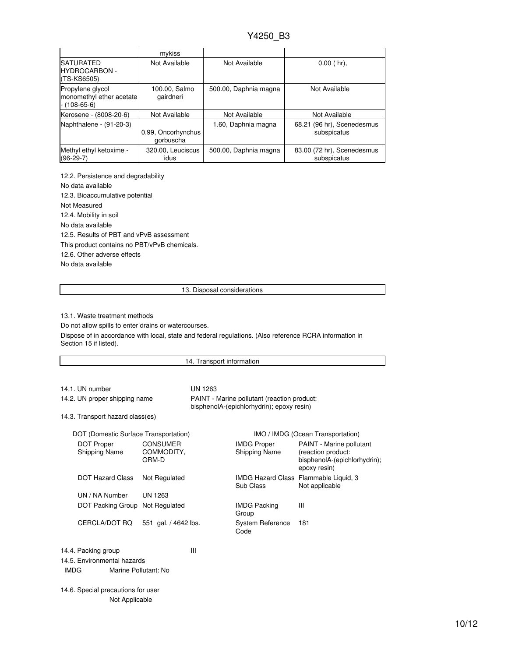|                                                                    | mykiss                          |                       |                                           |
|--------------------------------------------------------------------|---------------------------------|-----------------------|-------------------------------------------|
| <b>SATURATED</b><br><b>HYDROCARBON -</b><br>(TS-KS6505)            | Not Available                   | Not Available         | $0.00$ (hr),                              |
| Propylene glycol<br>monomethyl ether acetate<br>$- (108 - 65 - 6)$ | 100.00, Salmo<br>gairdneri      | 500.00, Daphnia magna | Not Available                             |
| Kerosene - (8008-20-6)                                             | Not Available                   | Not Available         | Not Available                             |
| Naphthalene - (91-20-3)                                            | 0.99, Oncorhynchus<br>gorbuscha | 1.60, Daphnia magna   | 68.21 (96 hr), Scenedesmus<br>subspicatus |
| Methyl ethyl ketoxime -<br>$(96-29-7)$                             | 320.00, Leuciscus<br>idus       | 500.00, Daphnia magna | 83.00 (72 hr), Scenedesmus<br>subspicatus |

12.2. Persistence and degradability No data available 12.3. Bioaccumulative potential Not Measured 12.4. Mobility in soil No data available 12.5. Results of PBT and vPvB assessment This product contains no PBT/vPvB chemicals. 12.6. Other adverse effects No data available

13. Disposal considerations

13.1. Waste treatment methods

Do not allow spills to enter drains or watercourses.

Dispose of in accordance with local, state and federal regulations. (Also reference RCRA information in Section 15 if listed).

| 14. Transport information                                                                      |                                        |                                                                                          |                                     |                                                                                                |
|------------------------------------------------------------------------------------------------|----------------------------------------|------------------------------------------------------------------------------------------|-------------------------------------|------------------------------------------------------------------------------------------------|
|                                                                                                |                                        |                                                                                          |                                     |                                                                                                |
| 14.1. UN number                                                                                |                                        | <b>UN 1263</b>                                                                           |                                     |                                                                                                |
| 14.2. UN proper shipping name                                                                  |                                        | PAINT - Marine pollutant (reaction product:<br>bisphenolA-(epichlorhydrin); epoxy resin) |                                     |                                                                                                |
| 14.3. Transport hazard class(es)                                                               |                                        |                                                                                          |                                     |                                                                                                |
| DOT (Domestic Surface Transportation)                                                          |                                        |                                                                                          |                                     | IMO / IMDG (Ocean Transportation)                                                              |
| <b>DOT Proper</b><br>Shipping Name                                                             | <b>CONSUMER</b><br>COMMODITY,<br>ORM-D |                                                                                          | <b>IMDG Proper</b><br>Shipping Name | PAINT - Marine pollutant<br>(reaction product:<br>bisphenolA-(epichlorhydrin);<br>epoxy resin) |
| <b>DOT Hazard Class</b>                                                                        | Not Regulated                          |                                                                                          | Sub Class                           | IMDG Hazard Class Flammable Liquid, 3<br>Not applicable                                        |
| UN / NA Number                                                                                 | <b>UN 1263</b>                         |                                                                                          |                                     |                                                                                                |
| DOT Packing Group Not Regulated                                                                |                                        |                                                                                          | <b>IMDG Packing</b><br>Group        | Ш                                                                                              |
| CERCLA/DOT RO                                                                                  | 551 gal. / 4642 lbs.                   |                                                                                          | <b>System Reference</b><br>Code     | 181                                                                                            |
| Ш<br>14.4. Packing group<br>14.5. Environmental hazards<br><b>IMDG</b><br>Marine Pollutant: No |                                        |                                                                                          |                                     |                                                                                                |
| 14.6. Special precautions for user<br>Not Applicable                                           |                                        |                                                                                          |                                     |                                                                                                |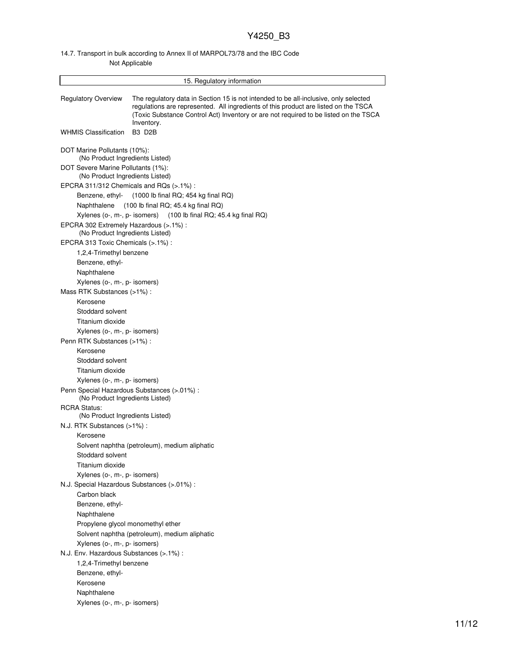### 14.7. Transport in bulk according to Annex II of MARPOL73/78 and the IBC Code Not Applicable

|                                                                                    | 15. Regulatory information                                                                                                                                                                                                                                                        |  |  |  |  |
|------------------------------------------------------------------------------------|-----------------------------------------------------------------------------------------------------------------------------------------------------------------------------------------------------------------------------------------------------------------------------------|--|--|--|--|
| <b>Regulatory Overview</b>                                                         | The regulatory data in Section 15 is not intended to be all-inclusive, only selected<br>requlations are represented. All ingredients of this product are listed on the TSCA<br>(Toxic Substance Control Act) Inventory or are not required to be listed on the TSCA<br>Inventory. |  |  |  |  |
| <b>WHMIS Classification</b>                                                        | B <sub>3</sub> D <sub>2</sub> B                                                                                                                                                                                                                                                   |  |  |  |  |
| DOT Marine Pollutants (10%):<br>(No Product Ingredients Listed)                    |                                                                                                                                                                                                                                                                                   |  |  |  |  |
| DOT Severe Marine Pollutants (1%):<br>(No Product Ingredients Listed)              |                                                                                                                                                                                                                                                                                   |  |  |  |  |
| EPCRA 311/312 Chemicals and RQs $(>.1\%)$ :                                        |                                                                                                                                                                                                                                                                                   |  |  |  |  |
|                                                                                    | Benzene, ethyl- (1000 lb final RQ; 454 kg final RQ)                                                                                                                                                                                                                               |  |  |  |  |
| Naphthalene                                                                        | $(100$ lb final RQ; 45.4 kg final RQ)                                                                                                                                                                                                                                             |  |  |  |  |
|                                                                                    | Xylenes ( $o$ -, $m$ -, $p$ - isomers) (100 lb final RQ; 45.4 kg final RQ)                                                                                                                                                                                                        |  |  |  |  |
| EPCRA 302 Extremely Hazardous (>.1%) :<br>(No Product Ingredients Listed)          |                                                                                                                                                                                                                                                                                   |  |  |  |  |
| EPCRA 313 Toxic Chemicals (>.1%) :                                                 |                                                                                                                                                                                                                                                                                   |  |  |  |  |
| 1,2,4-Trimethyl benzene                                                            |                                                                                                                                                                                                                                                                                   |  |  |  |  |
| Benzene, ethyl-                                                                    |                                                                                                                                                                                                                                                                                   |  |  |  |  |
| Naphthalene                                                                        |                                                                                                                                                                                                                                                                                   |  |  |  |  |
| Xylenes (o-, m-, p- isomers)<br>Mass RTK Substances (>1%):                         |                                                                                                                                                                                                                                                                                   |  |  |  |  |
| Kerosene                                                                           |                                                                                                                                                                                                                                                                                   |  |  |  |  |
| Stoddard solvent                                                                   |                                                                                                                                                                                                                                                                                   |  |  |  |  |
| Titanium dioxide                                                                   |                                                                                                                                                                                                                                                                                   |  |  |  |  |
| Xylenes (o-, m-, p- isomers)                                                       |                                                                                                                                                                                                                                                                                   |  |  |  |  |
| Penn RTK Substances (>1%):                                                         |                                                                                                                                                                                                                                                                                   |  |  |  |  |
| Kerosene                                                                           |                                                                                                                                                                                                                                                                                   |  |  |  |  |
| Stoddard solvent                                                                   |                                                                                                                                                                                                                                                                                   |  |  |  |  |
| Titanium dioxide                                                                   |                                                                                                                                                                                                                                                                                   |  |  |  |  |
| Xylenes (o-, m-, p- isomers)                                                       |                                                                                                                                                                                                                                                                                   |  |  |  |  |
| (No Product Ingredients Listed)                                                    | Penn Special Hazardous Substances (>.01%) :                                                                                                                                                                                                                                       |  |  |  |  |
| <b>RCRA Status:</b><br>(No Product Ingredients Listed)                             |                                                                                                                                                                                                                                                                                   |  |  |  |  |
| N.J. RTK Substances (>1%):                                                         |                                                                                                                                                                                                                                                                                   |  |  |  |  |
| Kerosene                                                                           |                                                                                                                                                                                                                                                                                   |  |  |  |  |
|                                                                                    | Solvent naphtha (petroleum), medium aliphatic                                                                                                                                                                                                                                     |  |  |  |  |
| Stoddard solvent                                                                   |                                                                                                                                                                                                                                                                                   |  |  |  |  |
| Titanium dioxide                                                                   |                                                                                                                                                                                                                                                                                   |  |  |  |  |
| Xylenes (o-, m-, p- isomers)                                                       |                                                                                                                                                                                                                                                                                   |  |  |  |  |
| N.J. Special Hazardous Substances (>.01%) :                                        |                                                                                                                                                                                                                                                                                   |  |  |  |  |
| Carbon black                                                                       |                                                                                                                                                                                                                                                                                   |  |  |  |  |
| Benzene, ethyl-<br>Naphthalene                                                     |                                                                                                                                                                                                                                                                                   |  |  |  |  |
|                                                                                    |                                                                                                                                                                                                                                                                                   |  |  |  |  |
| Propylene glycol monomethyl ether<br>Solvent naphtha (petroleum), medium aliphatic |                                                                                                                                                                                                                                                                                   |  |  |  |  |
|                                                                                    | Xylenes (o-, m-, p- isomers)                                                                                                                                                                                                                                                      |  |  |  |  |
|                                                                                    | N.J. Env. Hazardous Substances (>.1%) :                                                                                                                                                                                                                                           |  |  |  |  |
| 1,2,4-Trimethyl benzene                                                            |                                                                                                                                                                                                                                                                                   |  |  |  |  |
| Benzene, ethyl-                                                                    |                                                                                                                                                                                                                                                                                   |  |  |  |  |
| Kerosene                                                                           |                                                                                                                                                                                                                                                                                   |  |  |  |  |
| Naphthalene                                                                        |                                                                                                                                                                                                                                                                                   |  |  |  |  |
| Xylenes (o-, m-, p- isomers)                                                       |                                                                                                                                                                                                                                                                                   |  |  |  |  |